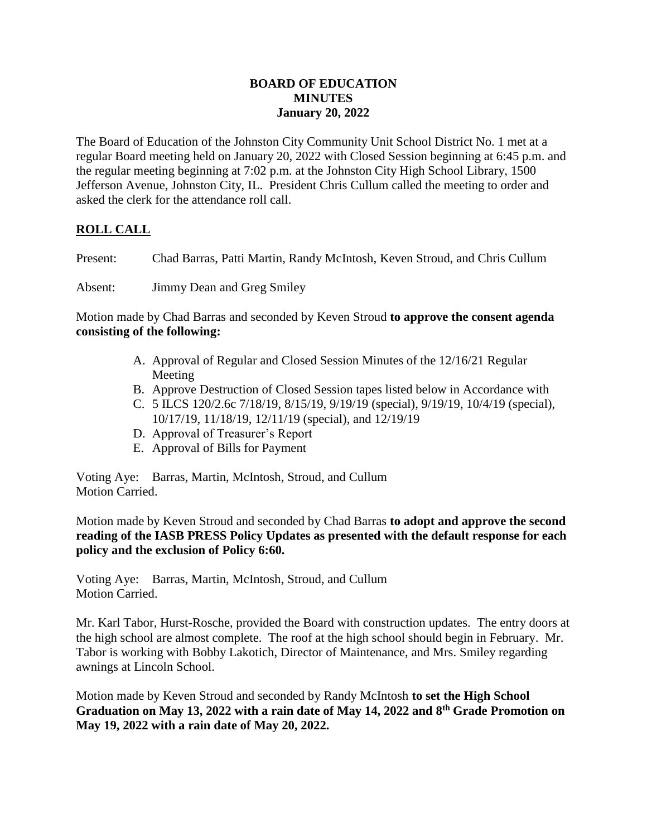## **BOARD OF EDUCATION MINUTES January 20, 2022**

The Board of Education of the Johnston City Community Unit School District No. 1 met at a regular Board meeting held on January 20, 2022 with Closed Session beginning at 6:45 p.m. and the regular meeting beginning at 7:02 p.m. at the Johnston City High School Library, 1500 Jefferson Avenue, Johnston City, IL. President Chris Cullum called the meeting to order and asked the clerk for the attendance roll call.

# **ROLL CALL**

Present: Chad Barras, Patti Martin, Randy McIntosh, Keven Stroud, and Chris Cullum

Absent: Jimmy Dean and Greg Smiley

Motion made by Chad Barras and seconded by Keven Stroud **to approve the consent agenda consisting of the following:**

- A. Approval of Regular and Closed Session Minutes of the 12/16/21 Regular Meeting
- B. Approve Destruction of Closed Session tapes listed below in Accordance with
- C. 5 ILCS 120/2.6c 7/18/19, 8/15/19, 9/19/19 (special), 9/19/19, 10/4/19 (special), 10/17/19, 11/18/19, 12/11/19 (special), and 12/19/19
- D. Approval of Treasurer's Report
- E. Approval of Bills for Payment

Voting Aye: Barras, Martin, McIntosh, Stroud, and Cullum Motion Carried.

Motion made by Keven Stroud and seconded by Chad Barras **to adopt and approve the second reading of the IASB PRESS Policy Updates as presented with the default response for each policy and the exclusion of Policy 6:60.**

Voting Aye: Barras, Martin, McIntosh, Stroud, and Cullum Motion Carried.

Mr. Karl Tabor, Hurst-Rosche, provided the Board with construction updates. The entry doors at the high school are almost complete. The roof at the high school should begin in February. Mr. Tabor is working with Bobby Lakotich, Director of Maintenance, and Mrs. Smiley regarding awnings at Lincoln School.

Motion made by Keven Stroud and seconded by Randy McIntosh **to set the High School Graduation on May 13, 2022 with a rain date of May 14, 2022 and 8th Grade Promotion on May 19, 2022 with a rain date of May 20, 2022.**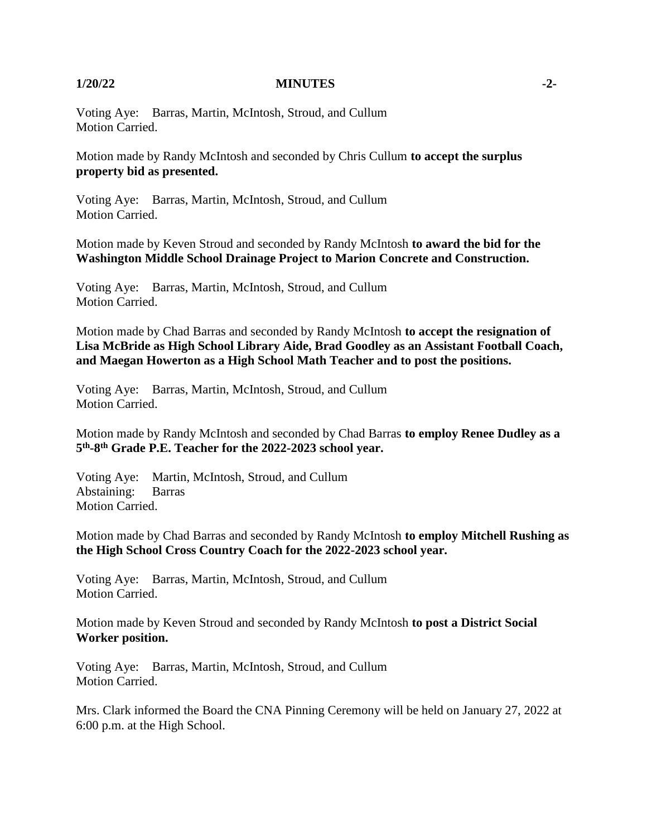### **1/20/22 MINUTES -2-**

Voting Aye: Barras, Martin, McIntosh, Stroud, and Cullum Motion Carried.

Motion made by Randy McIntosh and seconded by Chris Cullum **to accept the surplus property bid as presented.**

Voting Aye: Barras, Martin, McIntosh, Stroud, and Cullum Motion Carried.

Motion made by Keven Stroud and seconded by Randy McIntosh **to award the bid for the Washington Middle School Drainage Project to Marion Concrete and Construction.**

Voting Aye: Barras, Martin, McIntosh, Stroud, and Cullum Motion Carried.

Motion made by Chad Barras and seconded by Randy McIntosh **to accept the resignation of Lisa McBride as High School Library Aide, Brad Goodley as an Assistant Football Coach, and Maegan Howerton as a High School Math Teacher and to post the positions.**

Voting Aye: Barras, Martin, McIntosh, Stroud, and Cullum Motion Carried.

Motion made by Randy McIntosh and seconded by Chad Barras **to employ Renee Dudley as a 5 th -8 th Grade P.E. Teacher for the 2022-2023 school year.**

Voting Aye: Martin, McIntosh, Stroud, and Cullum Abstaining: Barras Motion Carried.

Motion made by Chad Barras and seconded by Randy McIntosh **to employ Mitchell Rushing as the High School Cross Country Coach for the 2022-2023 school year.**

Voting Aye: Barras, Martin, McIntosh, Stroud, and Cullum Motion Carried.

Motion made by Keven Stroud and seconded by Randy McIntosh **to post a District Social Worker position.**

Voting Aye: Barras, Martin, McIntosh, Stroud, and Cullum Motion Carried.

Mrs. Clark informed the Board the CNA Pinning Ceremony will be held on January 27, 2022 at 6:00 p.m. at the High School.